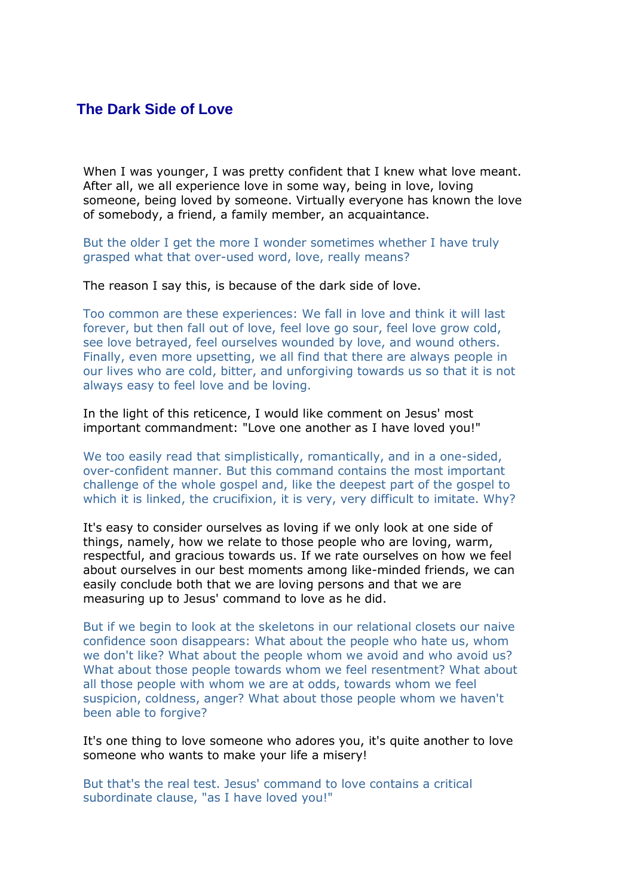## **The Dark Side of Love**

When I was younger, I was pretty confident that I knew what love meant. After all, we all experience love in some way, being in love, loving someone, being loved by someone. Virtually everyone has known the love of somebody, a friend, a family member, an acquaintance.

But the older I get the more I wonder sometimes whether I have truly grasped what that over-used word, love, really means?

The reason I say this, is because of the dark side of love.

Too common are these experiences: We fall in love and think it will last forever, but then fall out of love, feel love go sour, feel love grow cold, see love betrayed, feel ourselves wounded by love, and wound others. Finally, even more upsetting, we all find that there are always people in our lives who are cold, bitter, and unforgiving towards us so that it is not always easy to feel love and be loving.

In the light of this reticence, I would like comment on Jesus' most important commandment: "Love one another as I have loved you!"

We too easily read that simplistically, romantically, and in a one-sided, over-confident manner. But this command contains the most important challenge of the whole gospel and, like the deepest part of the gospel to which it is linked, the crucifixion, it is very, very difficult to imitate. Why?

It's easy to consider ourselves as loving if we only look at one side of things, namely, how we relate to those people who are loving, warm, respectful, and gracious towards us. If we rate ourselves on how we feel about ourselves in our best moments among like-minded friends, we can easily conclude both that we are loving persons and that we are measuring up to Jesus' command to love as he did.

But if we begin to look at the skeletons in our relational closets our naive confidence soon disappears: What about the people who hate us, whom we don't like? What about the people whom we avoid and who avoid us? What about those people towards whom we feel resentment? What about all those people with whom we are at odds, towards whom we feel suspicion, coldness, anger? What about those people whom we haven't been able to forgive?

It's one thing to love someone who adores you, it's quite another to love someone who wants to make your life a misery!

But that's the real test. Jesus' command to love contains a critical subordinate clause, "as I have loved you!"